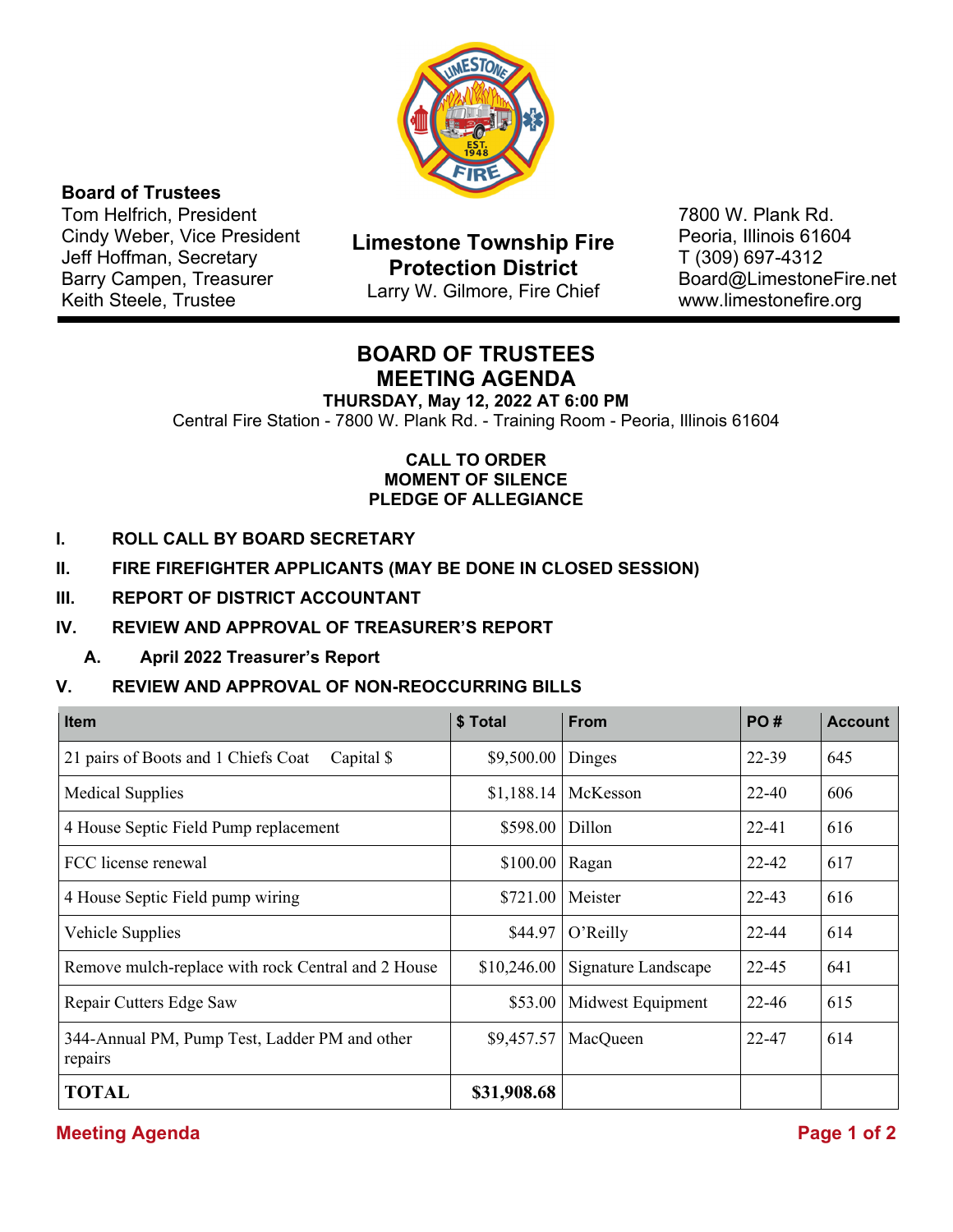

### **Board of Trustees**

Tom Helfrich, President Cindy Weber, Vice President Jeff Hoffman, Secretary Barry Campen, Treasurer Keith Steele, Trustee

**Limestone Township Fire Protection District**  Larry W. Gilmore, Fire Chief

7800 W. Plank Rd. Peoria, Illinois 61604 T (309) 697-4312 Board@LimestoneFire.net www.limestonefire.org

# **BOARD OF TRUSTEES MEETING AGENDA**

**THURSDAY, May 12, 2022 AT 6:00 PM** Central Fire Station - 7800 W. Plank Rd. - Training Room - Peoria, Illinois 61604

#### **CALL TO ORDER MOMENT OF SILENCE PLEDGE OF ALLEGIANCE**

- **I. ROLL CALL BY BOARD SECRETARY**
- **II. FIRE FIREFIGHTER APPLICANTS (MAY BE DONE IN CLOSED SESSION)**
- **III. REPORT OF DISTRICT ACCOUNTANT**

### **IV. REVIEW AND APPROVAL OF TREASURER'S REPORT**

**A. April 2022 Treasurer's Report** 

#### **V. REVIEW AND APPROVAL OF NON-REOCCURRING BILLS**

| <b>Item</b>                                              | \$ Total    | <b>From</b>         | PO#       | <b>Account</b> |
|----------------------------------------------------------|-------------|---------------------|-----------|----------------|
| 21 pairs of Boots and 1 Chiefs Coat<br>Capital \$        | \$9,500.00  | Dinges              | $22 - 39$ | 645            |
| <b>Medical Supplies</b>                                  | \$1,188.14  | McKesson            | 22-40     | 606            |
| 4 House Septic Field Pump replacement                    | \$598.00    | Dillon              | $22 - 41$ | 616            |
| FCC license renewal                                      | \$100.00    | Ragan               | 22-42     | 617            |
| 4 House Septic Field pump wiring                         | \$721.00    | Meister             | $22 - 43$ | 616            |
| Vehicle Supplies                                         | \$44.97     | O'Reilly            | 22-44     | 614            |
| Remove mulch-replace with rock Central and 2 House       | \$10,246.00 | Signature Landscape | $22 - 45$ | 641            |
| Repair Cutters Edge Saw                                  | \$53.00     | Midwest Equipment   | $22 - 46$ | 615            |
| 344-Annual PM, Pump Test, Ladder PM and other<br>repairs | \$9,457.57  | MacQueen            | 22-47     | 614            |
| <b>TOTAL</b>                                             | \$31,908.68 |                     |           |                |

## **Meeting Agenda** Page 1 of 2